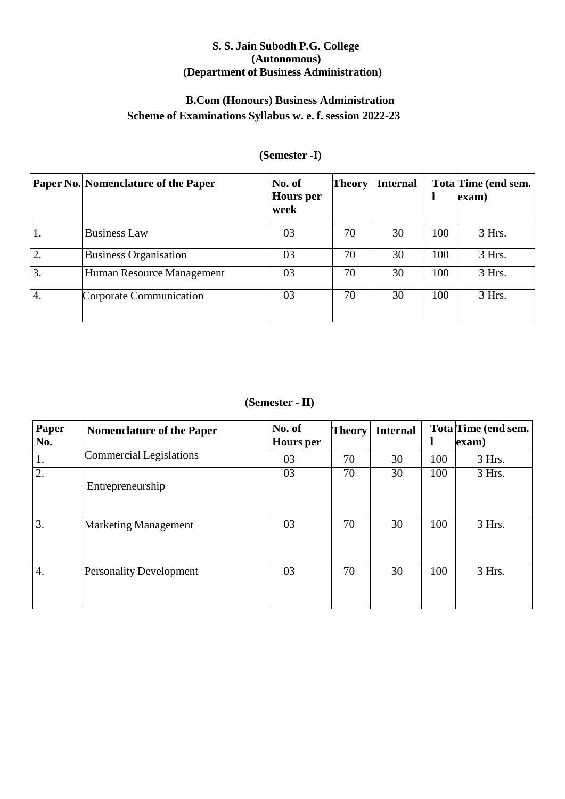## **S. S. Jain Subodh P.G. College (Autonomous) (Department of Business Administration)**

# **B.Com (Honours) Business Administration Scheme of Examinations Syllabus w. e. f. session 2022-23**

|                  | Paper No. Nomenclature of the Paper | No. of<br><b>Hours</b> per<br>week | <b>Theory</b> | <b>Internal</b> |     | Tota Time (end sem.<br>exam) |
|------------------|-------------------------------------|------------------------------------|---------------|-----------------|-----|------------------------------|
| 1.               | <b>Business Law</b>                 | 03                                 | 70            | 30              | 100 | $3$ Hrs.                     |
| $\overline{2}$ . | <b>Business Organisation</b>        | 03                                 | 70            | 30              | 100 | 3 Hrs.                       |
| 3.               | Human Resource Management           | 03                                 | 70            | 30              | 100 | 3 Hrs.                       |
| $\overline{4}$ . | Corporate Communication             | 03                                 | 70            | 30              | 100 | 3 Hrs.                       |

# **(Semester -I)**

**(Semester - II)**

| Paper<br>No.     | <b>Nomenclature of the Paper</b> | No. of<br><b>Hours</b> per | <b>Theory</b> | <b>Internal</b> |     | Tota Time (end sem.<br>exam) |
|------------------|----------------------------------|----------------------------|---------------|-----------------|-----|------------------------------|
| 1.               | Commercial Legislations          | 03                         | 70            | 30              | 100 | $3$ Hrs.                     |
| $\overline{2}$ . | Entrepreneurship                 | 03                         | 70            | 30              | 100 | 3 Hrs.                       |
| $\overline{3}$ . | <b>Marketing Management</b>      | 03                         | 70            | 30              | 100 | 3 Hrs.                       |
| 4.               | <b>Personality Development</b>   | 03                         | 70            | 30              | 100 | 3 Hrs.                       |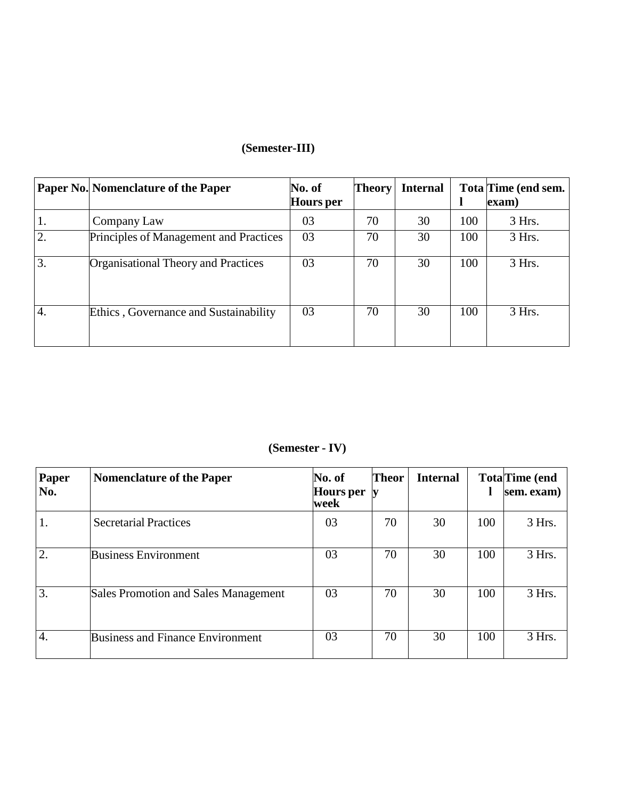# **(Semester-III)**

|                  | Paper No. Nomenclature of the Paper    | No. of<br><b>Hours</b> per | <b>Theory</b> | <b>Internal</b> |     | Tota Time (end sem.<br>exam) |
|------------------|----------------------------------------|----------------------------|---------------|-----------------|-----|------------------------------|
| 1.               | Company Law                            | 03                         | 70            | 30              | 100 | 3 Hrs.                       |
| $\overline{2}$ . | Principles of Management and Practices | 03                         | 70            | 30              | 100 | 3 Hrs.                       |
| 3.               | Organisational Theory and Practices    | 03                         | 70            | 30              | 100 | 3 Hrs.                       |
| $\overline{4}$ . | Ethics, Governance and Sustainability  | 03                         | 70            | 30              | 100 | 3 Hrs.                       |

# **(Semester - IV)**

| Paper<br>No. | <b>Nomenclature of the Paper</b>        | No. of<br><b>Hours</b> per<br>week | <b>Theor</b> | <b>Internal</b> |     | <b>Tota</b> Time (end<br>sem. exam) |
|--------------|-----------------------------------------|------------------------------------|--------------|-----------------|-----|-------------------------------------|
| 1.           | <b>Secretarial Practices</b>            | 03                                 | 70           | 30              | 100 | 3 Hrs.                              |
| 2.           | <b>Business Environment</b>             | 03                                 | 70           | 30              | 100 | 3 Hrs.                              |
| 3.           | Sales Promotion and Sales Management    | 03                                 | 70           | 30              | 100 | $3$ Hrs.                            |
| 4.           | <b>Business and Finance Environment</b> | 03                                 | 70           | 30              | 100 | 3 Hrs.                              |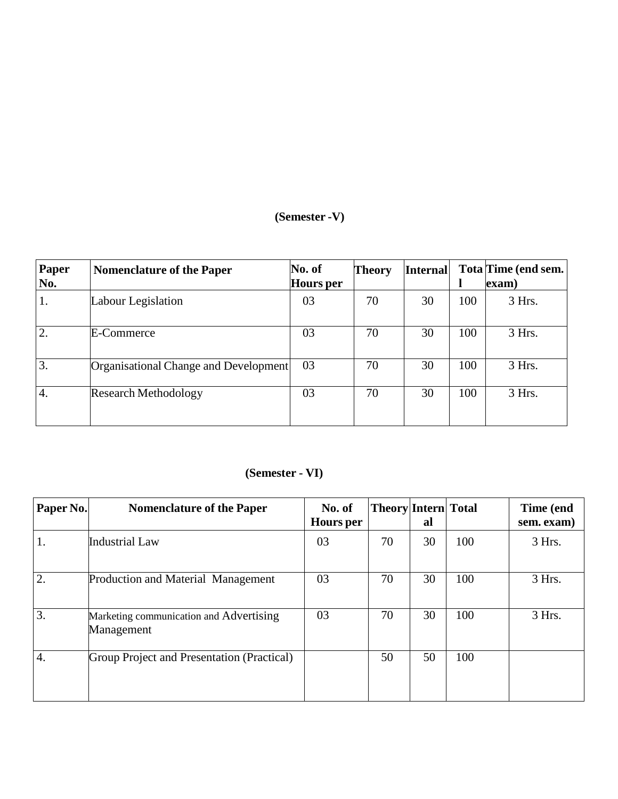# **(Semester -V)**

| Paper<br>No.     | <b>Nomenclature of the Paper</b>      | No. of<br><b>Hours</b> per | <b>Theory</b> | <b>Internal</b> |     | Tota Time (end sem.<br>exam) |
|------------------|---------------------------------------|----------------------------|---------------|-----------------|-----|------------------------------|
| 1.               | Labour Legislation                    | 03                         | 70            | 30              | 100 | 3 Hrs.                       |
| $\overline{2}$ . | E-Commerce                            | 03                         | 70            | 30              | 100 | 3 Hrs.                       |
| 3.               | Organisational Change and Development | 03                         | 70            | 30              | 100 | 3 Hrs.                       |
| $\overline{4}$ . | <b>Research Methodology</b>           | 03                         | 70            | 30              | 100 | 3 Hrs.                       |

# **(Semester - VI)**

| Paper No.        | <b>Nomenclature of the Paper</b>                      | No. of<br><b>Hours</b> per | <b>Theory Intern Total</b> | al |     | Time (end<br>sem. exam) |
|------------------|-------------------------------------------------------|----------------------------|----------------------------|----|-----|-------------------------|
| 1.               | <b>Industrial Law</b>                                 | 03                         | 70                         | 30 | 100 | 3 Hrs.                  |
| 2.               | Production and Material Management                    | 03                         | 70                         | 30 | 100 | 3 Hrs.                  |
| 3.               | Marketing communication and Advertising<br>Management | 03                         | 70                         | 30 | 100 | 3 Hrs.                  |
| $\overline{4}$ . | Group Project and Presentation (Practical)            |                            | 50                         | 50 | 100 |                         |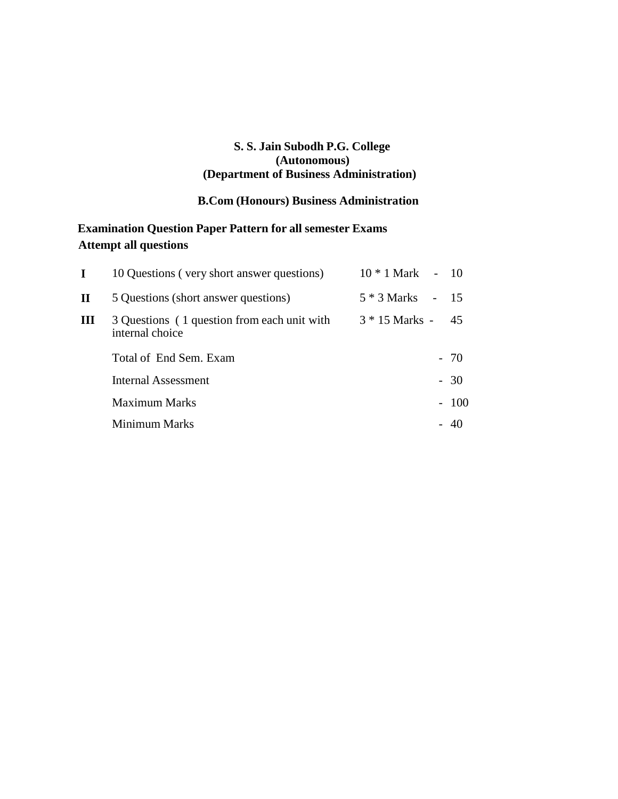## **S. S. Jain Subodh P.G. College (Autonomous) (Department of Business Administration)**

# **B.Com (Honours) Business Administration**

# **Examination Question Paper Pattern for all semester Exams Attempt all questions**

| $\mathbf I$ | 10 Questions (very short answer questions)                     | 10 * 1 Mark      | $-10$  |
|-------------|----------------------------------------------------------------|------------------|--------|
| П           | 5 Questions (short answer questions)                           | 5 * 3 Marks      | $-15$  |
| Ш           | 3 Questions (1 question from each unit with<br>internal choice | $3 * 15$ Marks - | -45    |
|             | Total of End Sem. Exam                                         |                  | $-70$  |
|             | Internal Assessment                                            |                  | $-30$  |
|             | <b>Maximum Marks</b>                                           |                  | $-100$ |
|             | Minimum Marks                                                  |                  | - 40   |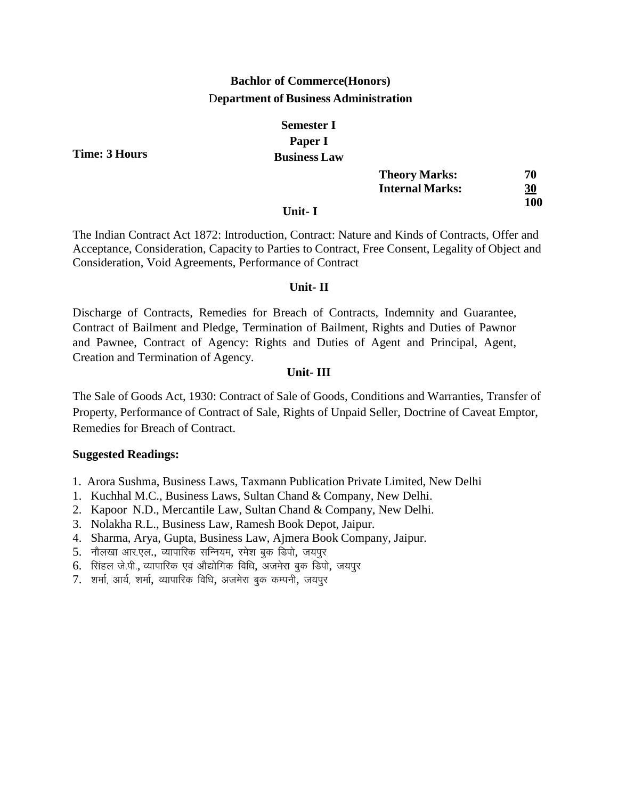# **Bachlor of Commerce(Honors)** D**epartment of Business Administration**

# **Semester I Paper I Business Law**

|        | <b>Theory Marks:</b>   | 70         |
|--------|------------------------|------------|
|        | <b>Internal Marks:</b> | <u>30</u>  |
| -- . - |                        | <b>100</b> |

### **Unit- I**

The Indian Contract Act 1872: Introduction, Contract: Nature and Kinds of Contracts, Offer and Acceptance, Consideration, Capacity to Parties to Contract, Free Consent, Legality of Object and Consideration, Void Agreements, Performance of Contract

## **Unit- II**

Discharge of Contracts, Remedies for Breach of Contracts, Indemnity and Guarantee, Contract of Bailment and Pledge, Termination of Bailment, Rights and Duties of Pawnor and Pawnee, Contract of Agency: Rights and Duties of Agent and Principal, Agent, Creation and Termination of Agency.

## **Unit- III**

The Sale of Goods Act, 1930: Contract of Sale of Goods, Conditions and Warranties, Transfer of Property, Performance of Contract of Sale, Rights of Unpaid Seller, Doctrine of Caveat Emptor, Remedies for Breach of Contract.

## **Suggested Readings:**

- 1. Arora Sushma, Business Laws, Taxmann Publication Private Limited, New Delhi
- 1. Kuchhal M.C., Business Laws, Sultan Chand & Company, New Delhi.
- 2. Kapoor N.D., Mercantile Law, Sultan Chand & Company, New Delhi.
- 3. Nolakha R.L., Business Law, Ramesh Book Depot, Jaipur.
- 4. Sharma, Arya, Gupta, Business Law, Ajmera Book Company, Jaipur.
- 5. नौलखा आर.एल., व्यापारिक सन्नियम, रमेश बुक डिपो, जयपूर
- 6. सिंहल जे.पी., व्यापारिक एवं औद्योगिक विधि, अजमेरा बुक डिपो, जयपूर
- 7. शर्मा, आर्य, शर्मा, व्यापारिक विधि, अजमेरा बुक कम्पनी, जयपुर

**Time: 3 Hours**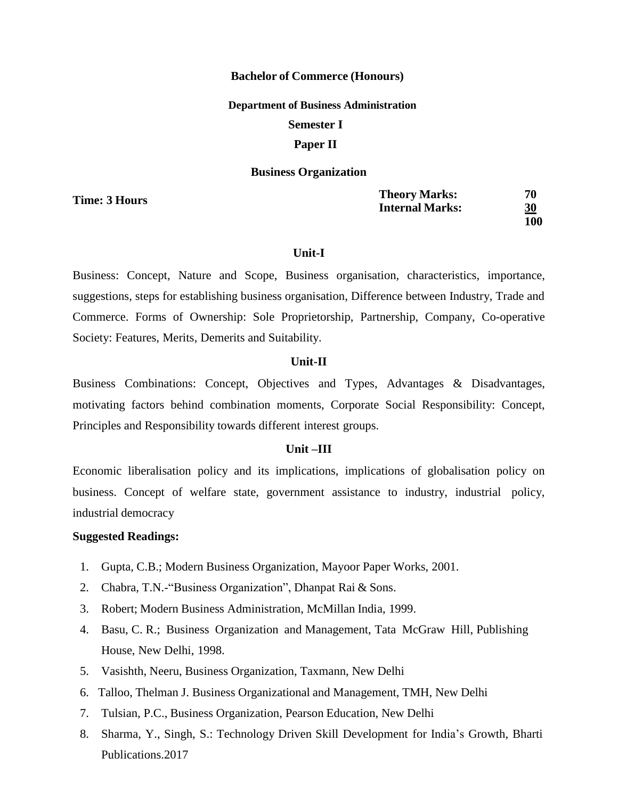#### **Bachelor of Commerce (Honours)**

#### **Department of Business Administration**

#### **Semester I**

## **Paper II**

#### **Business Organization**

**Time: 3 Hours**

**Theory Marks: 70 Internal Marks: 30 100**

#### **Unit-I**

Business: Concept, Nature and Scope, Business organisation, characteristics, importance, suggestions, steps for establishing business organisation, Difference between Industry, Trade and Commerce. Forms of Ownership: Sole Proprietorship, Partnership, Company, Co-operative Society: Features, Merits, Demerits and Suitability.

#### **Unit-II**

Business Combinations: Concept, Objectives and Types, Advantages & Disadvantages, motivating factors behind combination moments, Corporate Social Responsibility: Concept, Principles and Responsibility towards different interest groups.

## **Unit –III**

Economic liberalisation policy and its implications, implications of globalisation policy on business. Concept of welfare state, government assistance to industry, industrial policy, industrial democracy

- 1. Gupta, C.B.; Modern Business Organization, Mayoor Paper Works, 2001.
- 2. Chabra, T.N.-"Business Organization", Dhanpat Rai & Sons.
- 3. Robert; Modern Business Administration, McMillan India, 1999.
- 4. Basu, C. R.; Business Organization and Management, Tata McGraw Hill, Publishing House, New Delhi, 1998.
- 5. Vasishth, Neeru, Business Organization, Taxmann, New Delhi
- 6. Talloo, Thelman J. Business Organizational and Management, TMH, New Delhi
- 7. Tulsian, P.C., Business Organization, Pearson Education, New Delhi
- 8. Sharma, Y., Singh, S.: Technology Driven Skill Development for India's Growth, Bharti Publications.2017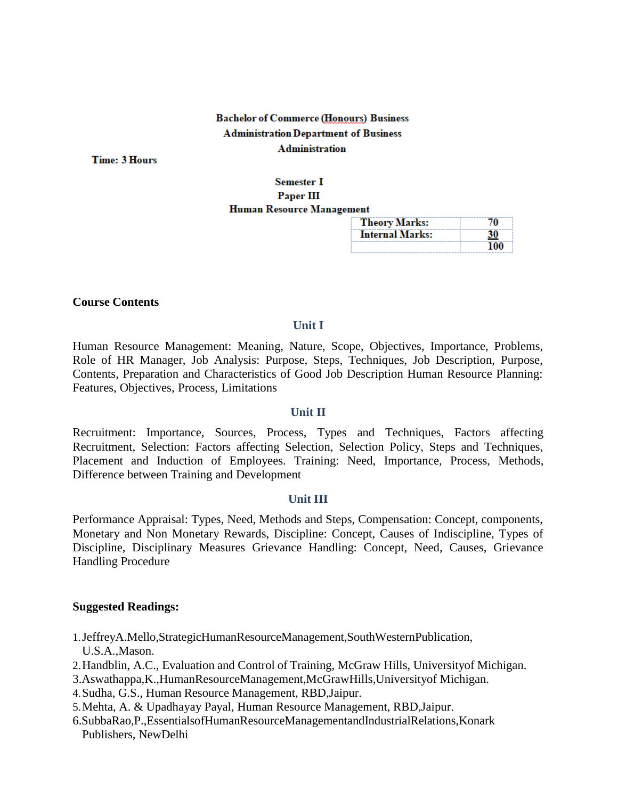# **Bachelor of Commerce (Honours) Business Administration Department of Business Administration**

**Time: 3 Hours** 

## **Semester I** Paper III Human Resource Management

| <b>Theory Marks:</b>   | 70        |
|------------------------|-----------|
| <b>Internal Marks:</b> | <u>30</u> |
|                        | 100       |

#### **Course Contents**

#### **Unit I**

Human Resource Management: Meaning, Nature, Scope, Objectives, Importance, Problems, Role of HR Manager, Job Analysis: Purpose, Steps, Techniques, Job Description, Purpose, Contents, Preparation and Characteristics of Good Job Description Human Resource Planning: Features, Objectives, Process, Limitations

#### **Unit II**

Recruitment: Importance, Sources, Process, Types and Techniques, Factors affecting Recruitment, Selection: Factors affecting Selection, Selection Policy, Steps and Techniques, Placement and Induction of Employees. Training: Need, Importance, Process, Methods, Difference between Training and Development

#### **Unit III**

Performance Appraisal: Types, Need, Methods and Steps, Compensation: Concept, components, Monetary and Non Monetary Rewards, Discipline: Concept, Causes of Indiscipline, Types of Discipline, Disciplinary Measures Grievance Handling: Concept, Need, Causes, Grievance Handling Procedure

- 1.JeffreyA.Mello,StrategicHumanResourceManagement,SouthWesternPublication, U.S.A.,Mason.
- 2.Handblin, A.C., Evaluation and Control of Training, McGraw Hills, Universityof Michigan.
- 3.Aswathappa,K.,HumanResourceManagement,McGrawHills,Universityof Michigan.
- 4.Sudha, G.S., Human Resource Management, RBD,Jaipur.
- 5.Mehta, A. & Upadhayay Payal, Human Resource Management, RBD,Jaipur.
- 6.SubbaRao,P.,EssentialsofHumanResourceManagementandIndustrialRelations,Konark Publishers, NewDelhi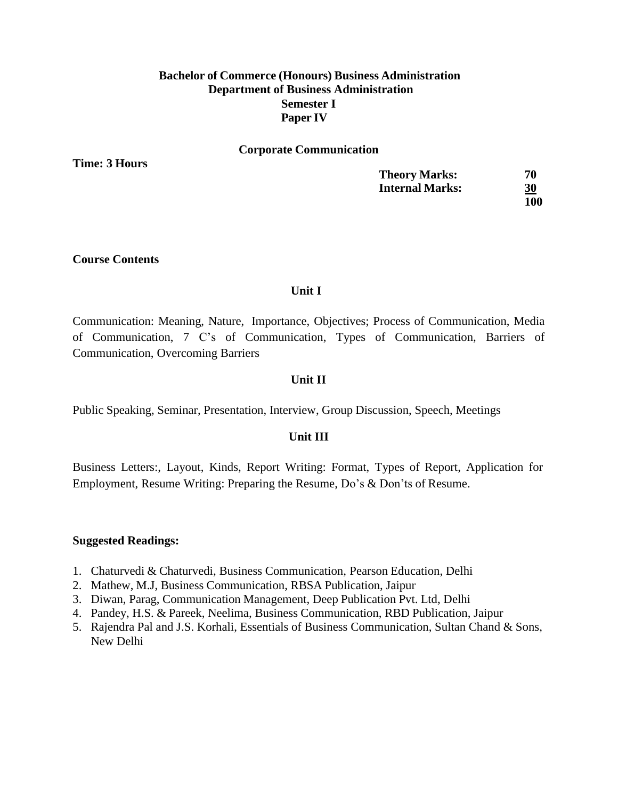## **Bachelor of Commerce (Honours) Business Administration Department of Business Administration Semester I Paper IV**

#### **Corporate Communication**

**Time: 3 Hours**

| <b>Theory Marks:</b>   | 70         |
|------------------------|------------|
| <b>Internal Marks:</b> | 30         |
|                        | <b>100</b> |

#### **Course Contents**

#### **Unit I**

Communication: Meaning, Nature, Importance, Objectives; Process of Communication, Media of Communication, 7 C's of Communication, Types of Communication, Barriers of Communication, Overcoming Barriers

### **Unit II**

Public Speaking, Seminar, Presentation, Interview, Group Discussion, Speech, Meetings

## **Unit III**

Business Letters:, Layout, Kinds, Report Writing: Format, Types of Report, Application for Employment, Resume Writing: Preparing the Resume, Do's & Don'ts of Resume.

- 1. Chaturvedi & Chaturvedi, Business Communication, Pearson Education, Delhi
- 2. Mathew, M.J, Business Communication, RBSA Publication, Jaipur
- 3. Diwan, Parag, Communication Management, Deep Publication Pvt. Ltd, Delhi
- 4. Pandey, H.S. & Pareek, Neelima, Business Communication, RBD Publication, Jaipur
- 5. Rajendra Pal and J.S. Korhali, Essentials of Business Communication, Sultan Chand & Sons, New Delhi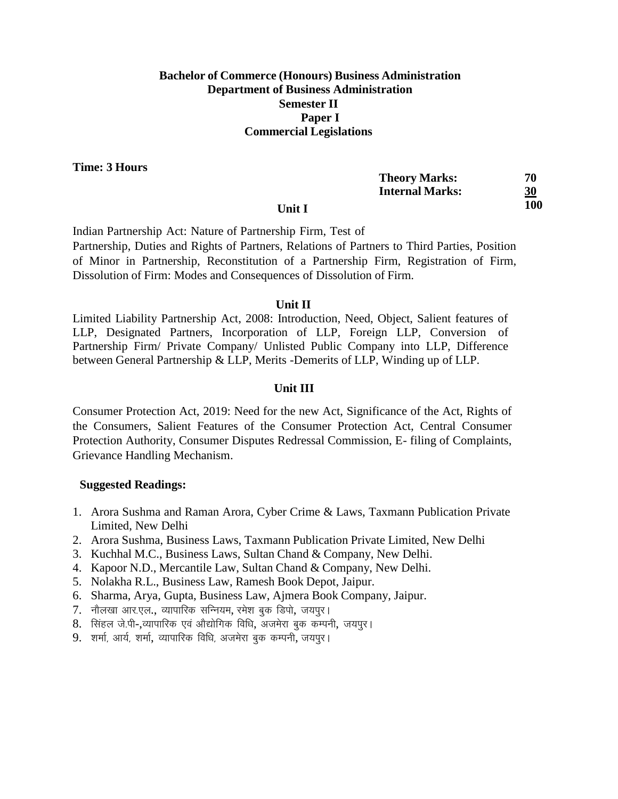## **Bachelor of Commerce (Honours) Business Administration Department of Business Administration Semester II Paper I Commercial Legislations**

**Time: 3 Hours**

|        | <b>Theory Marks:</b>   | 70        |
|--------|------------------------|-----------|
|        | <b>Internal Marks:</b> | <u>30</u> |
| Unit I |                        | 100       |

Indian Partnership Act: Nature of Partnership Firm, Test of Partnership, Duties and Rights of Partners, Relations of Partners to Third Parties, Position of Minor in Partnership, Reconstitution of a Partnership Firm, Registration of Firm, Dissolution of Firm: Modes and Consequences of Dissolution of Firm.

### **Unit II**

Limited Liability Partnership Act, 2008: Introduction, Need, Object, Salient features of LLP, Designated Partners, Incorporation of LLP, Foreign LLP, Conversion of Partnership Firm/ Private Company/ Unlisted Public Company into LLP, Difference between General Partnership & LLP, Merits -Demerits of LLP, Winding up of LLP.

## **Unit III**

Consumer Protection Act, 2019: Need for the new Act, Significance of the Act, Rights of the Consumers, Salient Features of the Consumer Protection Act, Central Consumer Protection Authority, Consumer Disputes Redressal Commission, E- filing of Complaints, Grievance Handling Mechanism.

- 1. Arora Sushma and Raman Arora, Cyber Crime & Laws, Taxmann Publication Private Limited, New Delhi
- 2. Arora Sushma, Business Laws, Taxmann Publication Private Limited, New Delhi
- 3. Kuchhal M.C., Business Laws, Sultan Chand & Company, New Delhi.
- 4. Kapoor N.D., Mercantile Law, Sultan Chand & Company, New Delhi.
- 5. Nolakha R.L., Business Law, Ramesh Book Depot, Jaipur.
- 6. Sharma, Arya, Gupta, Business Law, Ajmera Book Company, Jaipur.
- 7. नौलखा आर.एल., व्यापारिक सन्नियम, रमेश बुक डिपो, जयपुर।
- 8. सिंहल जे.पी-,व्यापारिक एवं ओद्योगिक विधि, अजमेरा बुक कम्पनी, जयपुर।
- 9. शर्मा, आर्य, शर्मा, व्यापारिक विधि, अजमेरा बुक कम्पनी, जयपुर।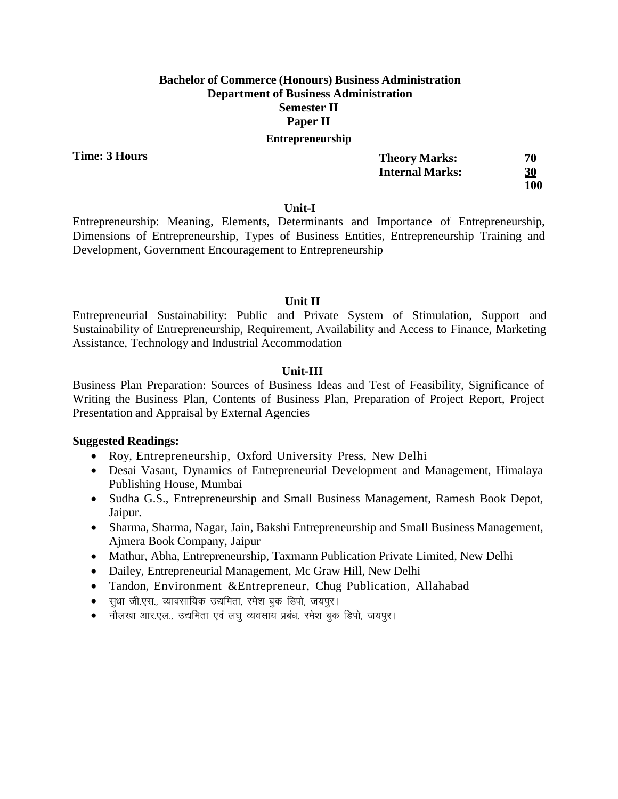## **Bachelor of Commerce (Honours) Business Administration Department of Business Administration Semester II Paper II Entrepreneurship**

**Time: 3 Hours**

| <b>Theory Marks:</b>   | 70  |
|------------------------|-----|
| <b>Internal Marks:</b> | 30  |
|                        | 100 |

### **Unit-I**

Entrepreneurship: Meaning, Elements, Determinants and Importance of Entrepreneurship, Dimensions of Entrepreneurship, Types of Business Entities, Entrepreneurship Training and Development, Government Encouragement to Entrepreneurship

## **Unit II**

Entrepreneurial Sustainability: Public and Private System of Stimulation, Support and Sustainability of Entrepreneurship, Requirement, Availability and Access to Finance, Marketing Assistance, Technology and Industrial Accommodation

## **Unit-III**

Business Plan Preparation: Sources of Business Ideas and Test of Feasibility, Significance of Writing the Business Plan, Contents of Business Plan, Preparation of Project Report, Project Presentation and Appraisal by External Agencies

- Roy, Entrepreneurship, Oxford University Press, New Delhi
- Desai Vasant, Dynamics of Entrepreneurial Development and Management, Himalaya Publishing House, Mumbai
- Sudha G.S., Entrepreneurship and Small Business Management, Ramesh Book Depot, Jaipur.
- Sharma, Sharma, Nagar, Jain, Bakshi Entrepreneurship and Small Business Management, Ajmera Book Company, Jaipur
- Mathur, Abha, Entrepreneurship, Taxmann Publication Private Limited, New Delhi
- Dailey, Entrepreneurial Management, Mc Graw Hill, New Delhi
- Tandon, Environment &Entrepreneur, Chug Publication, Allahabad
- सूधा जी.एस., व्यावसायिक उद्यमिता, रमेश बुक डिपो, जयपुर।
- नौलखा आर.एल., उद्यमिता एवं लघू व्यवसाय प्रबंध, रमेश बुक डिपो, जयपूर।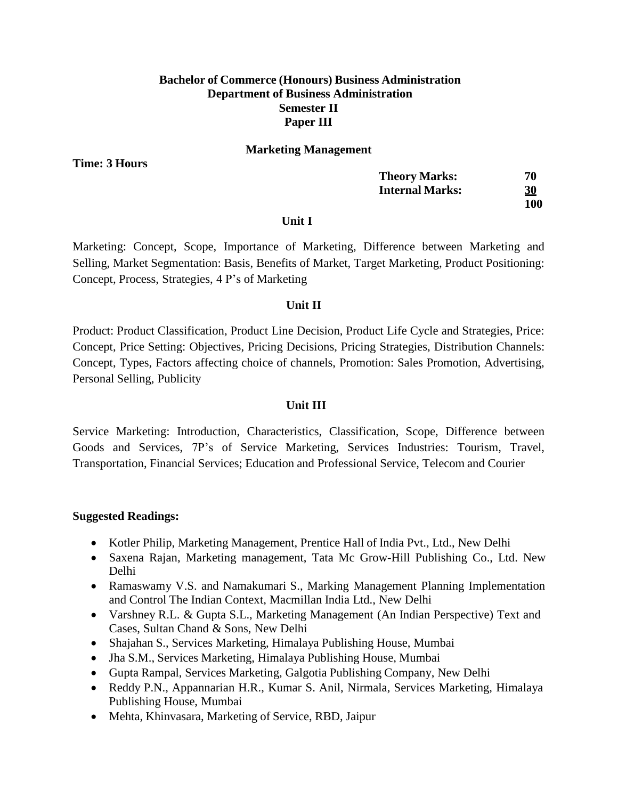## **Bachelor of Commerce (Honours) Business Administration Department of Business Administration Semester II Paper III**

#### **Marketing Management**

**Time: 3 Hours**

| <b>Theory Marks:</b>   | 70         |
|------------------------|------------|
| <b>Internal Marks:</b> | <u>30</u>  |
|                        | <b>100</b> |

#### **Unit I**

Marketing: Concept, Scope, Importance of Marketing, Difference between Marketing and Selling, Market Segmentation: Basis, Benefits of Market, Target Marketing, Product Positioning: Concept, Process, Strategies, 4 P's of Marketing

## **Unit II**

Product: Product Classification, Product Line Decision, Product Life Cycle and Strategies, Price: Concept, Price Setting: Objectives, Pricing Decisions, Pricing Strategies, Distribution Channels: Concept, Types, Factors affecting choice of channels, Promotion: Sales Promotion, Advertising, Personal Selling, Publicity

## **Unit III**

Service Marketing: Introduction, Characteristics, Classification, Scope, Difference between Goods and Services, 7P's of Service Marketing, Services Industries: Tourism, Travel, Transportation, Financial Services; Education and Professional Service, Telecom and Courier

- Kotler Philip, Marketing Management, Prentice Hall of India Pvt., Ltd., New Delhi
- Saxena Rajan, Marketing management, Tata Mc Grow-Hill Publishing Co., Ltd. New Delhi
- Ramaswamy V.S. and Namakumari S., Marking Management Planning Implementation and Control The Indian Context, Macmillan India Ltd., New Delhi
- Varshney R.L. & Gupta S.L., Marketing Management (An Indian Perspective) Text and Cases, Sultan Chand & Sons, New Delhi
- Shajahan S., Services Marketing, Himalaya Publishing House, Mumbai
- Jha S.M., Services Marketing, Himalaya Publishing House, Mumbai
- Gupta Rampal, Services Marketing, Galgotia Publishing Company, New Delhi
- Reddy P.N., Appannarian H.R., Kumar S. Anil, Nirmala, Services Marketing, Himalaya Publishing House, Mumbai
- Mehta, Khinvasara, Marketing of Service, RBD, Jaipur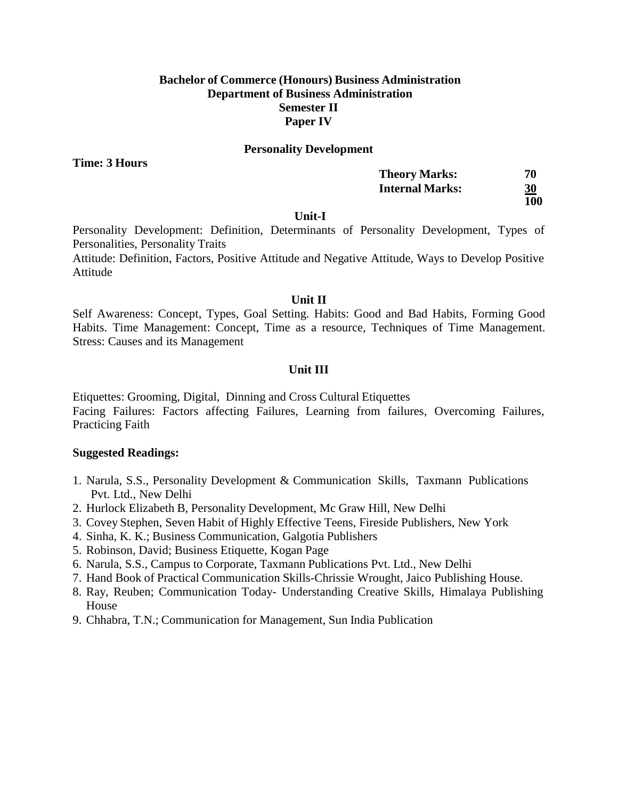## **Bachelor of Commerce (Honours) Business Administration Department of Business Administration Semester II Paper IV**

#### **Personality Development**

**Time: 3 Hours**

| <b>Theory Marks:</b>   | 70  |
|------------------------|-----|
| <b>Internal Marks:</b> | 30  |
|                        | 100 |

#### **Unit-I**

Personality Development: Definition, Determinants of Personality Development, Types of Personalities, Personality Traits

Attitude: Definition, Factors, Positive Attitude and Negative Attitude, Ways to Develop Positive Attitude

#### **Unit II**

Self Awareness: Concept, Types, Goal Setting. Habits: Good and Bad Habits, Forming Good Habits. Time Management: Concept, Time as a resource, Techniques of Time Management. Stress: Causes and its Management

#### **Unit III**

Etiquettes: Grooming, Digital, Dinning and Cross Cultural Etiquettes Facing Failures: Factors affecting Failures, Learning from failures, Overcoming Failures, Practicing Faith

- 1. Narula, S.S., Personality Development & Communication Skills, Taxmann Publications Pvt. Ltd., New Delhi
- 2. Hurlock Elizabeth B, Personality Development, Mc Graw Hill, New Delhi
- 3. Covey Stephen, Seven Habit of Highly Effective Teens, Fireside Publishers, New York
- 4. Sinha, K. K.; Business Communication, Galgotia Publishers
- 5. Robinson, David; Business Etiquette, Kogan Page
- 6. Narula, S.S., Campus to Corporate, Taxmann Publications Pvt. Ltd., New Delhi
- 7. Hand Book of Practical Communication Skills-Chrissie Wrought, Jaico Publishing House.
- 8. Ray, Reuben; Communication Today- Understanding Creative Skills, Himalaya Publishing House
- 9. Chhabra, T.N.; Communication for Management, Sun India Publication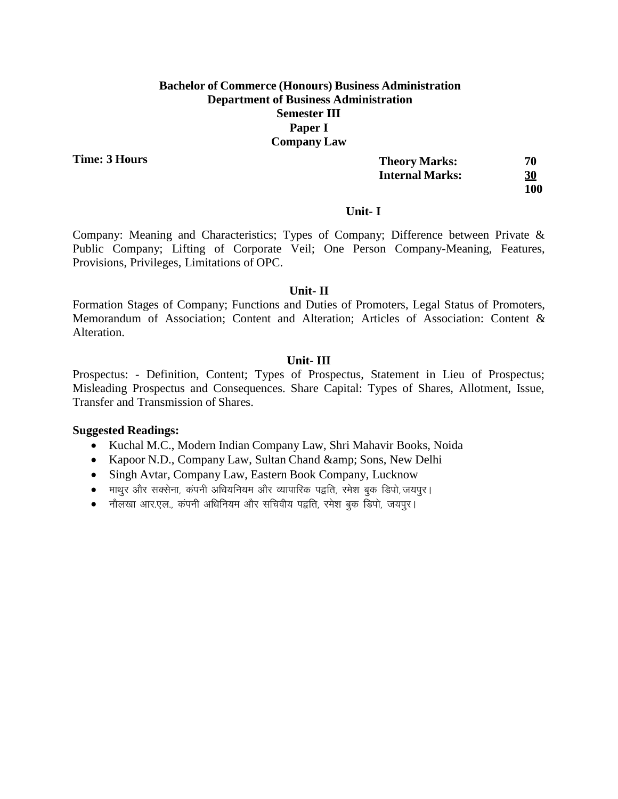## **Bachelor of Commerce (Honours) Business Administration Department of Business Administration Semester III Paper I Company Law**

**Time: 3 Hours**

| <b>Theory Marks:</b>   | 70         |
|------------------------|------------|
| <b>Internal Marks:</b> | 30         |
|                        | <b>100</b> |

#### **Unit- I**

Company: Meaning and Characteristics; Types of Company; Difference between Private & Public Company; Lifting of Corporate Veil; One Person Company-Meaning, Features, Provisions, Privileges, Limitations of OPC.

## **Unit- II**

Formation Stages of Company; Functions and Duties of Promoters, Legal Status of Promoters, Memorandum of Association; Content and Alteration; Articles of Association: Content & Alteration.

## **Unit- III**

Prospectus: - Definition, Content; Types of Prospectus, Statement in Lieu of Prospectus; Misleading Prospectus and Consequences. Share Capital: Types of Shares, Allotment, Issue, Transfer and Transmission of Shares.

- Kuchal M.C., Modern Indian Company Law, Shri Mahavir Books, Noida
- Kapoor N.D., Company Law, Sultan Chand & amp; Sons, New Delhi
- Singh Avtar, Company Law, Eastern Book Company, Lucknow
- e माथर और सक्सेना, कंपनी अधियनियम और व्यापारिक पद्वति, रमेश बक डिपो, जयपर।
- नौलखा आर.एल., कंपनी अधिनियम और सचिवीय पद्वति, रमेश बक डिपो, जयपुर।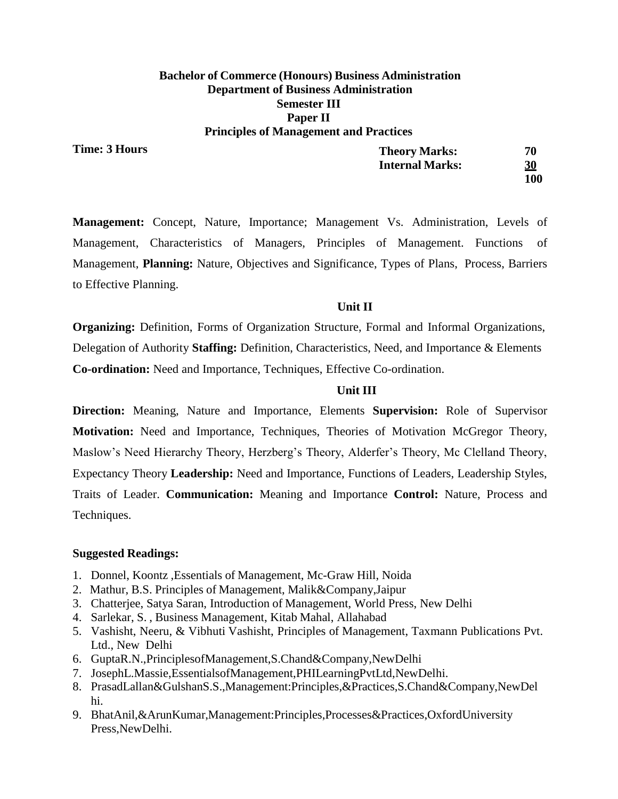## **Bachelor of Commerce (Honours) Business Administration Department of Business Administration Semester III Paper II Principles of Management and Practices**

**Time: 3 Hours**

| <b>Theory Marks:</b>   | 70         |
|------------------------|------------|
| <b>Internal Marks:</b> | 30         |
|                        | <b>100</b> |

**Management:** Concept, Nature, Importance; Management Vs. Administration, Levels of Management, Characteristics of Managers, Principles of Management. Functions of Management, **Planning:** Nature, Objectives and Significance, Types of Plans, Process, Barriers to Effective Planning.

## **Unit II**

**Organizing:** Definition, Forms of Organization Structure, Formal and Informal Organizations, Delegation of Authority **Staffing:** Definition, Characteristics, Need, and Importance & Elements **Co-ordination:** Need and Importance, Techniques, Effective Co-ordination.

## **Unit III**

**Direction:** Meaning, Nature and Importance, Elements **Supervision:** Role of Supervisor **Motivation:** Need and Importance, Techniques, Theories of Motivation McGregor Theory, Maslow's Need Hierarchy Theory, Herzberg's Theory, Alderfer's Theory, Mc Clelland Theory, Expectancy Theory **Leadership:** Need and Importance, Functions of Leaders, Leadership Styles, Traits of Leader. **Communication:** Meaning and Importance **Control:** Nature, Process and Techniques.

- 1. Donnel, Koontz ,Essentials of Management, Mc-Graw Hill, Noida
- 2. Mathur, B.S. Principles of Management, Malik&Company,Jaipur
- 3. Chatterjee, Satya Saran, Introduction of Management, World Press, New Delhi
- 4. Sarlekar, S. , Business Management, Kitab Mahal, Allahabad
- 5. Vashisht, Neeru, & Vibhuti Vashisht, Principles of Management, Taxmann Publications Pvt. Ltd., New Delhi
- 6. GuptaR.N.,PrinciplesofManagement,S.Chand&Company,NewDelhi
- 7. JosephL.Massie,EssentialsofManagement,PHILearningPvtLtd,NewDelhi.
- 8. PrasadLallan&GulshanS.S.,Management:Principles,&Practices,S.Chand&Company,NewDel hi.
- 9. BhatAnil,&ArunKumar,Management:Principles,Processes&Practices,OxfordUniversity Press,NewDelhi.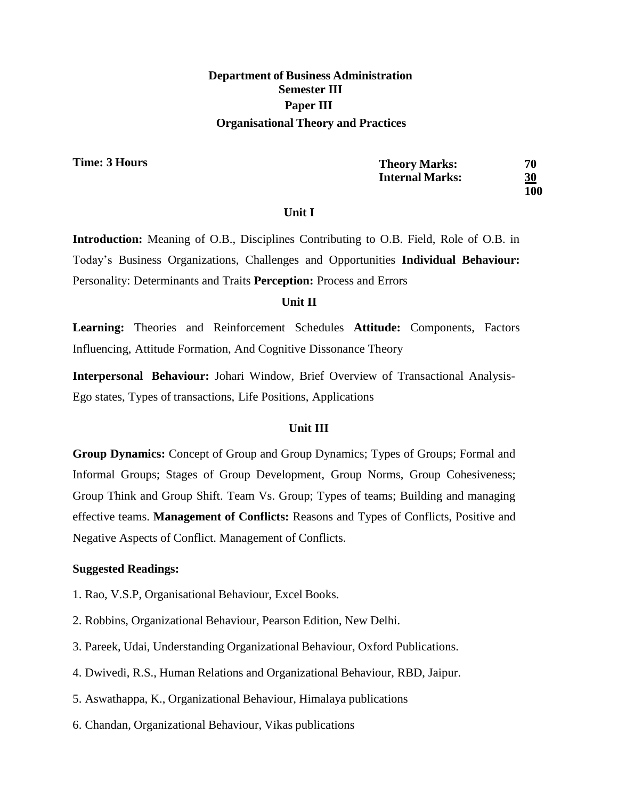# **Department of Business Administration Semester III Paper III Organisational Theory and Practices**

**Time: 3 Hours**

| <b>Theory Marks:</b>   | 70  |
|------------------------|-----|
| <b>Internal Marks:</b> | 30  |
|                        | 100 |

#### **Unit I**

**Introduction:** Meaning of O.B., Disciplines Contributing to O.B. Field, Role of O.B. in Today's Business Organizations, Challenges and Opportunities **Individual Behaviour:** Personality: Determinants and Traits **Perception:** Process and Errors

## **Unit II**

**Learning:** Theories and Reinforcement Schedules **Attitude:** Components, Factors Influencing, Attitude Formation, And Cognitive Dissonance Theory

**Interpersonal Behaviour:** Johari Window, Brief Overview of Transactional Analysis-Ego states, Types of transactions, Life Positions, Applications

## **Unit III**

**Group Dynamics:** Concept of Group and Group Dynamics; Types of Groups; Formal and Informal Groups; Stages of Group Development, Group Norms, Group Cohesiveness; Group Think and Group Shift. Team Vs. Group; Types of teams; Building and managing effective teams. **Management of Conflicts:** Reasons and Types of Conflicts, Positive and Negative Aspects of Conflict. Management of Conflicts.

- 1. Rao, V.S.P, Organisational Behaviour, Excel Books.
- 2. Robbins, Organizational Behaviour, Pearson Edition, New Delhi.
- 3. Pareek, Udai, Understanding Organizational Behaviour, Oxford Publications.
- 4. Dwivedi, R.S., Human Relations and Organizational Behaviour, RBD, Jaipur.
- 5. Aswathappa, K., Organizational Behaviour, Himalaya publications
- 6. Chandan, Organizational Behaviour, Vikas publications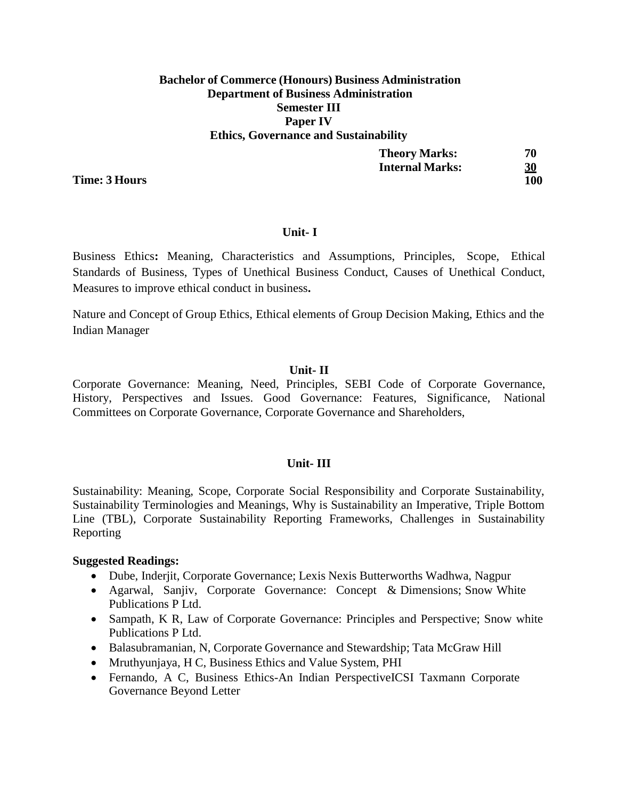## **Bachelor of Commerce (Honours) Business Administration Department of Business Administration Semester III Paper IV Ethics, Governance and Sustainability**

| <b>Theory Marks:</b>   | 70        |
|------------------------|-----------|
| <b>Internal Marks:</b> | <u>30</u> |
|                        | 100       |

**Unit- I**

Business Ethics**:** Meaning, Characteristics and Assumptions, Principles, Scope, Ethical Standards of Business, Types of Unethical Business Conduct, Causes of Unethical Conduct, Measures to improve ethical conduct in business**.**

Nature and Concept of Group Ethics, Ethical elements of Group Decision Making, Ethics and the Indian Manager

## **Unit- II**

Corporate Governance: Meaning, Need, Principles, SEBI Code of Corporate Governance, History, Perspectives and Issues. Good Governance: Features, Significance, National Committees on Corporate Governance, Corporate Governance and Shareholders,

## **Unit- III**

Sustainability: Meaning, Scope, Corporate Social Responsibility and Corporate Sustainability, Sustainability Terminologies and Meanings, Why is Sustainability an Imperative, Triple Bottom Line (TBL), Corporate Sustainability Reporting Frameworks, Challenges in Sustainability Reporting

### **Suggested Readings:**

- Dube, Inderjit, Corporate Governance; Lexis Nexis Butterworths Wadhwa, Nagpur
- Agarwal, Sanjiv, Corporate Governance: Concept & Dimensions; Snow White Publications P Ltd.
- Sampath, K R, Law of Corporate Governance: Principles and Perspective; Snow white Publications P Ltd.
- Balasubramanian, N, Corporate Governance and Stewardship; Tata McGraw Hill
- Mruthyunjaya, H C, Business Ethics and Value System, PHI
- Fernando, A C, Business Ethics-An Indian PerspectiveICSI Taxmann Corporate Governance Beyond Letter

**Time: 3 Hours**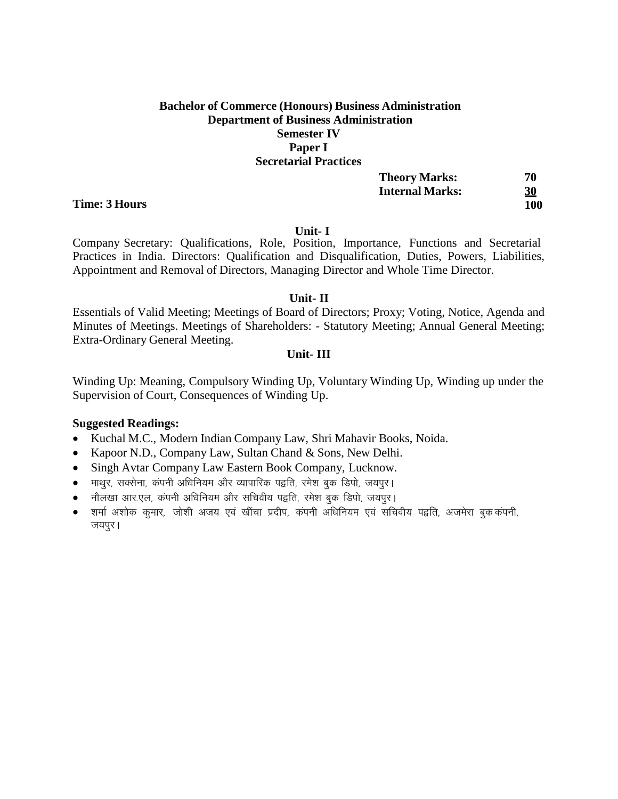# **Bachelor of Commerce (Honours) Business Administration Department of Business Administration Semester IV Paper I Secretarial Practices**

| <b>Theory Marks:</b>   | 70  |
|------------------------|-----|
| <b>Internal Marks:</b> | 30  |
|                        | 100 |

#### **Unit- I**

Company Secretary: Qualifications, Role, Position, Importance, Functions and Secretarial Practices in India. Directors: Qualification and Disqualification, Duties, Powers, Liabilities, Appointment and Removal of Directors, Managing Director and Whole Time Director.

#### **Unit- II**

Essentials of Valid Meeting; Meetings of Board of Directors; Proxy; Voting, Notice, Agenda and Minutes of Meetings. Meetings of Shareholders: - Statutory Meeting; Annual General Meeting; Extra-Ordinary General Meeting.

## **Unit- III**

Winding Up: Meaning, Compulsory Winding Up, Voluntary Winding Up, Winding up under the Supervision of Court, Consequences of Winding Up.

## **Suggested Readings:**

- Kuchal M.C., Modern Indian Company Law, Shri Mahavir Books, Noida.
- Kapoor N.D., Company Law, Sultan Chand & Sons, New Delhi.
- Singh Avtar Company Law Eastern Book Company, Lucknow.
- $\bullet$  माथुर, सक्सेना, कंपनी अधिनियम और व्यापारिक पद्वति, रमेश बुक डिपो, जयपुर।
- नौलखा आर.एल, कंपनी अधिनियम और सचिवीय पद्वति, रमेश बुक डिपो, जयपुर।
- $\bullet$  ) शर्मा अशोक कुमार, जोशी अजय एवं खींचा प्रदीप, कंपनी अधिनियम एवं सचिवीय पद्वति, अजमेरा बुककंपनी, जयपुर।

#### **Time: 3 Hours**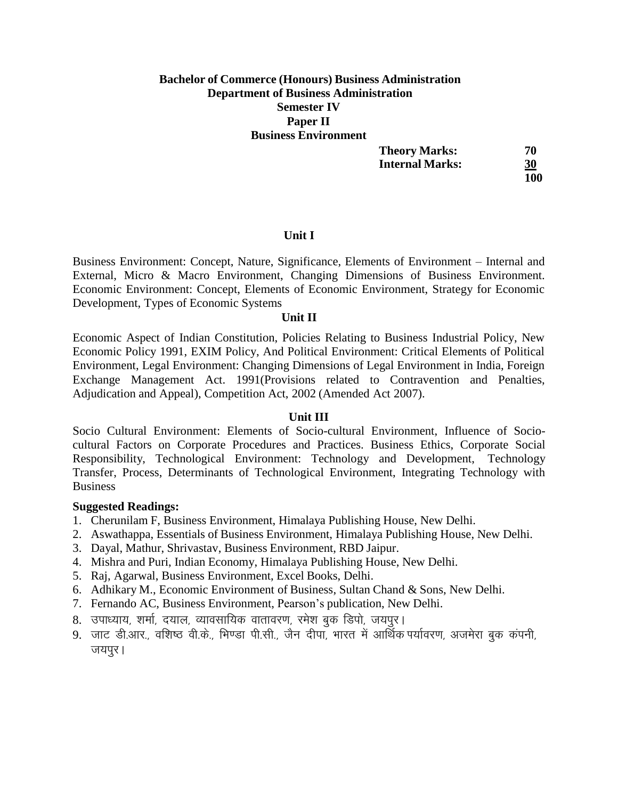## **Bachelor of Commerce (Honours) Business Administration Department of Business Administration Semester IV Paper II Business Environment**

| <b>Theory Marks:</b>   | 70         |
|------------------------|------------|
| <b>Internal Marks:</b> | 30         |
|                        | <b>100</b> |

Business Environment: Concept, Nature, Significance, Elements of Environment – Internal and External, Micro & Macro Environment, Changing Dimensions of Business Environment. Economic Environment: Concept, Elements of Economic Environment, Strategy for Economic Development, Types of Economic Systems

## **Unit II**

**Unit I**

Economic Aspect of Indian Constitution, Policies Relating to Business Industrial Policy, New Economic Policy 1991, EXIM Policy, And Political Environment: Critical Elements of Political Environment, Legal Environment: Changing Dimensions of Legal Environment in India, Foreign Exchange Management Act. 1991(Provisions related to Contravention and Penalties, Adjudication and Appeal), Competition Act, 2002 (Amended Act 2007).

### **Unit III**

Socio Cultural Environment: Elements of Socio-cultural Environment, Influence of Sociocultural Factors on Corporate Procedures and Practices. Business Ethics, Corporate Social Responsibility, Technological Environment: Technology and Development, Technology Transfer, Process, Determinants of Technological Environment, Integrating Technology with **Business** 

- 1. Cherunilam F, Business Environment, Himalaya Publishing House, New Delhi.
- 2. Aswathappa, Essentials of Business Environment, Himalaya Publishing House, New Delhi.
- 3. Dayal, Mathur, Shrivastav, Business Environment, RBD Jaipur.
- 4. Mishra and Puri, Indian Economy, Himalaya Publishing House, New Delhi.
- 5. Raj, Agarwal, Business Environment, Excel Books, Delhi.
- 6. Adhikary M., Economic Environment of Business, Sultan Chand & Sons, New Delhi.
- 7. Fernando AC, Business Environment, Pearson's publication, New Delhi.
- 8. उपाध्याय, शर्मा, दयाल, व्यावसायिक वातावरण, रमेश बुक डिपो, जयपुर।
- 9. जाट डी.आर.. वशिष्ठ वी.के.. भिण्डा पी.सी.. जैन दीपाॅ. भारत में आर्थिक पर्यावरण. अजमेरा बक कंपनी. जयपुर ।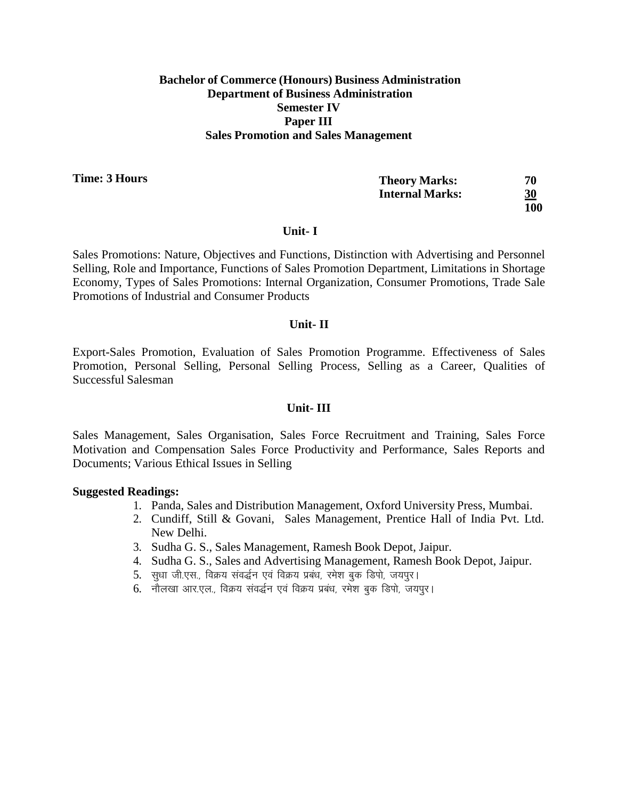## **Bachelor of Commerce (Honours) Business Administration Department of Business Administration Semester IV Paper III Sales Promotion and Sales Management**

**Time: 3 Hours**

| <b>Theory Marks:</b>   | 70         |
|------------------------|------------|
| <b>Internal Marks:</b> | <u>30</u>  |
|                        | <b>100</b> |

#### **Unit- I**

Sales Promotions: Nature, Objectives and Functions, Distinction with Advertising and Personnel Selling, Role and Importance, Functions of Sales Promotion Department, Limitations in Shortage Economy, Types of Sales Promotions: Internal Organization, Consumer Promotions, Trade Sale Promotions of Industrial and Consumer Products

## **Unit- II**

Export-Sales Promotion, Evaluation of Sales Promotion Programme. Effectiveness of Sales Promotion, Personal Selling, Personal Selling Process, Selling as a Career, Qualities of Successful Salesman

### **Unit- III**

Sales Management, Sales Organisation, Sales Force Recruitment and Training, Sales Force Motivation and Compensation Sales Force Productivity and Performance, Sales Reports and Documents; Various Ethical Issues in Selling

- 1. Panda, Sales and Distribution Management, Oxford University Press, Mumbai.
- 2. Cundiff, Still & Govani, Sales Management, Prentice Hall of India Pvt. Ltd. New Delhi.
- 3. Sudha G. S., Sales Management, Ramesh Book Depot, Jaipur.
- 4. Sudha G. S., Sales and Advertising Management, Ramesh Book Depot, Jaipur.
- 5. सुधा जी.एस., विक्रय संवर्द्धन एवं विक्रय प्रबंध, रमेश बुक डिपो, जयपुर।
- 6. नौलखा आर.एल., विक्रय संवर्द्धन एवं विक्रय प्रबंध, रमेश बुक डिपो, जयपुर।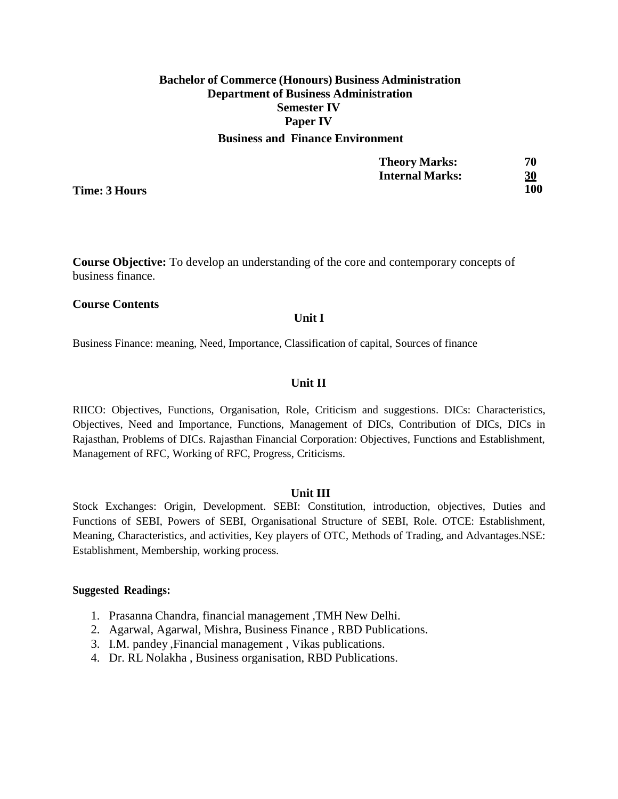## **Bachelor of Commerce (Honours) Business Administration Department of Business Administration Semester IV Paper IV Business and Finance Environment**

| <b>Theory Marks:</b>   | 70  |
|------------------------|-----|
| <b>Internal Marks:</b> | 30  |
|                        | 100 |

**Time: 3 Hours**

**Course Objective:** To develop an understanding of the core and contemporary concepts of business finance.

#### **Course Contents**

#### **Unit I**

Business Finance: meaning, Need, Importance, Classification of capital, Sources of finance

#### **Unit II**

RIICO: Objectives, Functions, Organisation, Role, Criticism and suggestions. DICs: Characteristics, Objectives, Need and Importance, Functions, Management of DICs, Contribution of DICs, DICs in Rajasthan, Problems of DICs. Rajasthan Financial Corporation: Objectives, Functions and Establishment, Management of RFC, Working of RFC, Progress, Criticisms.

#### **Unit III**

Stock Exchanges: Origin, Development. SEBI: Constitution, introduction, objectives, Duties and Functions of SEBI, Powers of SEBI, Organisational Structure of SEBI, Role. OTCE: Establishment, Meaning, Characteristics, and activities, Key players of OTC, Methods of Trading, and Advantages.NSE: Establishment, Membership, working process.

- 1. Prasanna Chandra, financial management ,TMH New Delhi.
- 2. Agarwal, Agarwal, Mishra, Business Finance , RBD Publications.
- 3. I.M. pandey ,Financial management , Vikas publications.
- 4. Dr. RL Nolakha , Business organisation, RBD Publications.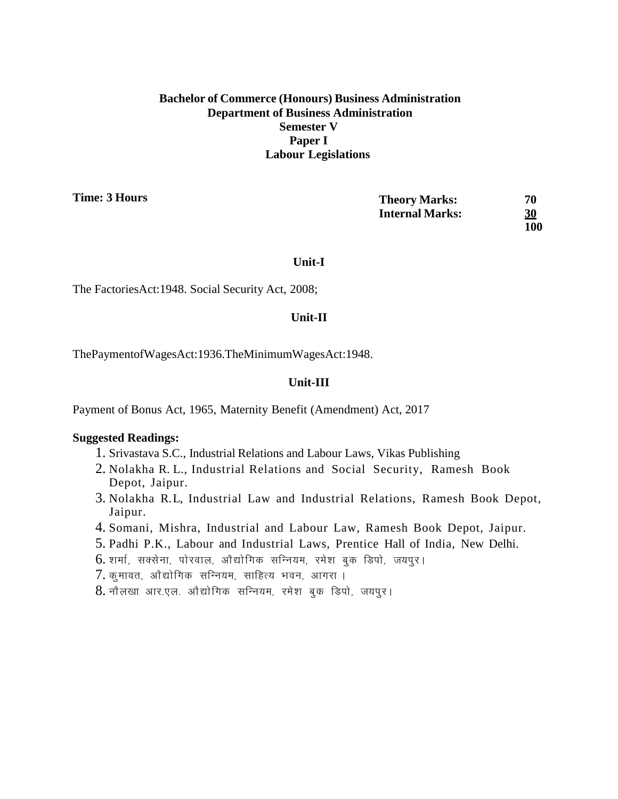## **Bachelor of Commerce (Honours) Business Administration Department of Business Administration Semester V Paper I Labour Legislations**

**Time: 3 Hours**

| <b>Theory Marks:</b>   | 70         |
|------------------------|------------|
| <b>Internal Marks:</b> | <u>30</u>  |
|                        | <b>100</b> |

#### **Unit-I**

The FactoriesAct:1948. Social Security Act, 2008;

## **Unit-II**

ThePaymentofWagesAct:1936.TheMinimumWagesAct:1948.

## **Unit-III**

Payment of Bonus Act, 1965, Maternity Benefit (Amendment) Act, 2017

- 1. Srivastava S.C., Industrial Relations and Labour Laws, Vikas Publishing
- 2. Nolakha R. L., Industrial Relations and Social Security, Ramesh Book Depot, Jaipur.
- 3. Nolakha R.L, Industrial Law and Industrial Relations, Ramesh Book Depot, Jaipur.
- 4. Somani, Mishra, Industrial and Labour Law, Ramesh Book Depot, Jaipur.
- 5. Padhi P.K., Labour and Industrial Laws, Prentice Hall of India, New Delhi.
- 6. शर्मा, सक्सेना, पोरवाल, ओद्योगिक सन्नियम, रमेश बुक डिपो, जयपुर।
- $7.$  कुमावत, ओद्योगिक सन्नियम, साहित्य भवन, आगरा ।
- 8. नौलखा आर.एल. औद्योगिक सन्नियम, रमेश बुक डिपो, जयपुर।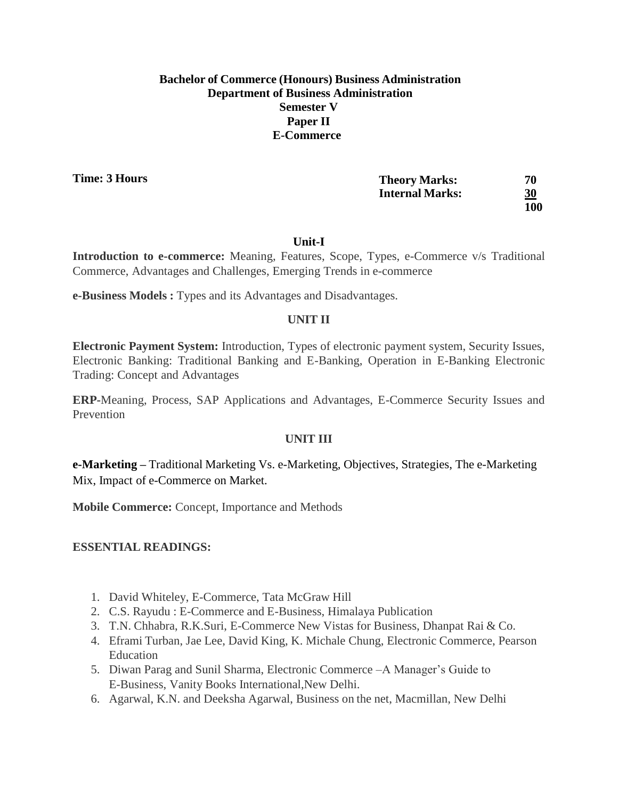## **Bachelor of Commerce (Honours) Business Administration Department of Business Administration Semester V Paper II E-Commerce**

**Time: 3 Hours**

| <b>Theory Marks:</b>   | 70         |
|------------------------|------------|
| <b>Internal Marks:</b> | <u>30</u>  |
|                        | <b>100</b> |

## **Unit-I**

**Introduction to e-commerce:** Meaning, Features, Scope, Types, e-Commerce v/s Traditional Commerce, Advantages and Challenges, Emerging Trends in e-commerce

**e-Business Models :** Types and its Advantages and Disadvantages.

## **UNIT II**

**Electronic Payment System:** Introduction, Types of electronic payment system, Security Issues, Electronic Banking: Traditional Banking and E-Banking, Operation in E-Banking Electronic Trading: Concept and Advantages

**ERP-**Meaning, Process, SAP Applications and Advantages, E-Commerce Security Issues and Prevention

## **UNIT III**

**e-Marketing –** Traditional Marketing Vs. e-Marketing, Objectives, Strategies, The e-Marketing Mix, Impact of e-Commerce on Market.

**Mobile Commerce:** Concept, Importance and Methods

## **ESSENTIAL READINGS:**

- 1. David Whiteley, E-Commerce, Tata McGraw Hill
- 2. C.S. Rayudu : E-Commerce and E-Business, Himalaya Publication
- 3. T.N. Chhabra, R.K.Suri, E-Commerce New Vistas for Business, Dhanpat Rai & Co.
- 4. Eframi Turban, Jae Lee, David King, K. Michale Chung, Electronic Commerce, Pearson Education
- 5. Diwan Parag and Sunil Sharma, Electronic Commerce –A Manager's Guide to E-Business, Vanity Books International,New Delhi.
- 6. Agarwal, K.N. and Deeksha Agarwal, Business on the net, Macmillan, New Delhi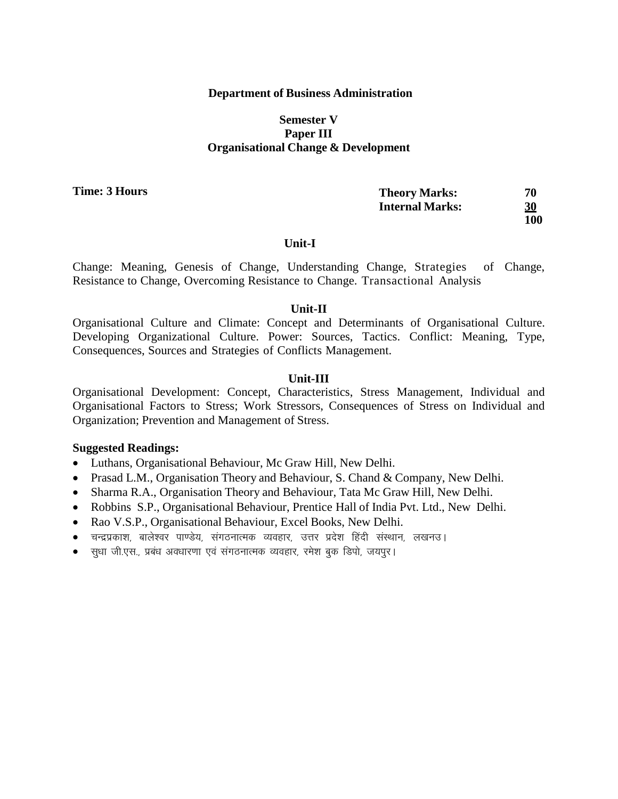## **Department of Business Administration**

## **Semester V Paper III Organisational Change & Development**

**Time: 3 Hours**

| <b>Theory Marks:</b>   | 70  |
|------------------------|-----|
| <b>Internal Marks:</b> | 30  |
|                        | 100 |

#### **Unit-I**

Change: Meaning, Genesis of Change, Understanding Change, Strategies of Change, Resistance to Change, Overcoming Resistance to Change. Transactional Analysis

#### **Unit-II**

Organisational Culture and Climate: Concept and Determinants of Organisational Culture. Developing Organizational Culture. Power: Sources, Tactics. Conflict: Meaning, Type, Consequences, Sources and Strategies of Conflicts Management.

### **Unit-III**

Organisational Development: Concept, Characteristics, Stress Management, Individual and Organisational Factors to Stress; Work Stressors, Consequences of Stress on Individual and Organization; Prevention and Management of Stress.

- Luthans, Organisational Behaviour, Mc Graw Hill, New Delhi.
- Prasad L.M., Organisation Theory and Behaviour, S. Chand & Company, New Delhi.
- Sharma R.A., Organisation Theory and Behaviour, Tata Mc Graw Hill, New Delhi.
- Robbins S.P., Organisational Behaviour, Prentice Hall of India Pvt. Ltd., New Delhi.
- Rao V.S.P., Organisational Behaviour, Excel Books, New Delhi.
- चन्द्रप्रकाश, बालेश्वर पाण्डेय, संगठनात्मक व्यवहार, उत्तर प्रदेश हिंदी संस्थान, लखनउ।
- सुधा जी.एस., प्रबंध अवधारणा एवं संगठनात्मक व्यवहार, रमेश बुक डिपो, जयपूर।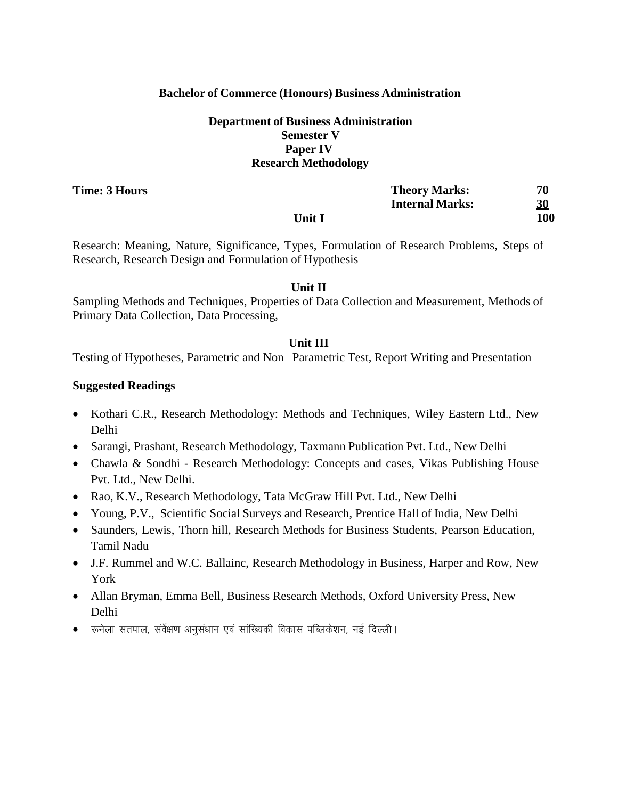## **Bachelor of Commerce (Honours) Business Administration**

## **Department of Business Administration Semester V Paper IV Research Methodology**

**Time: 3 Hours**

|        | <b>Theory Marks:</b>   | 70         |
|--------|------------------------|------------|
|        | <b>Internal Marks:</b> | <u>30</u>  |
| Unit I |                        | <b>100</b> |

Research: Meaning, Nature, Significance, Types, Formulation of Research Problems, Steps of Research, Research Design and Formulation of Hypothesis

## **Unit II**

Sampling Methods and Techniques, Properties of Data Collection and Measurement, Methods of Primary Data Collection, Data Processing,

## **Unit III**

Testing of Hypotheses, Parametric and Non –Parametric Test, Report Writing and Presentation

- Kothari C.R., Research Methodology: Methods and Techniques, Wiley Eastern Ltd., New Delhi
- Sarangi, Prashant, Research Methodology, Taxmann Publication Pvt. Ltd., New Delhi
- Chawla & Sondhi Research Methodology: Concepts and cases, Vikas Publishing House Pvt. Ltd., New Delhi.
- Rao, K.V., Research Methodology, Tata McGraw Hill Pvt. Ltd., New Delhi
- Young, P.V., Scientific Social Surveys and Research, Prentice Hall of India, New Delhi
- Saunders, Lewis, Thorn hill, Research Methods for Business Students, Pearson Education, Tamil Nadu
- J.F. Rummel and W.C. Ballainc, Research Methodology in Business, Harper and Row, New York
- Allan Bryman, Emma Bell, Business Research Methods, Oxford University Press, New Delhi
- $\bullet$  रूनेला सतपाल, सर्वेक्षण अनुसंधान एवं सांख्यिकी विकास पब्लिकेशन, नई दिल्ली ।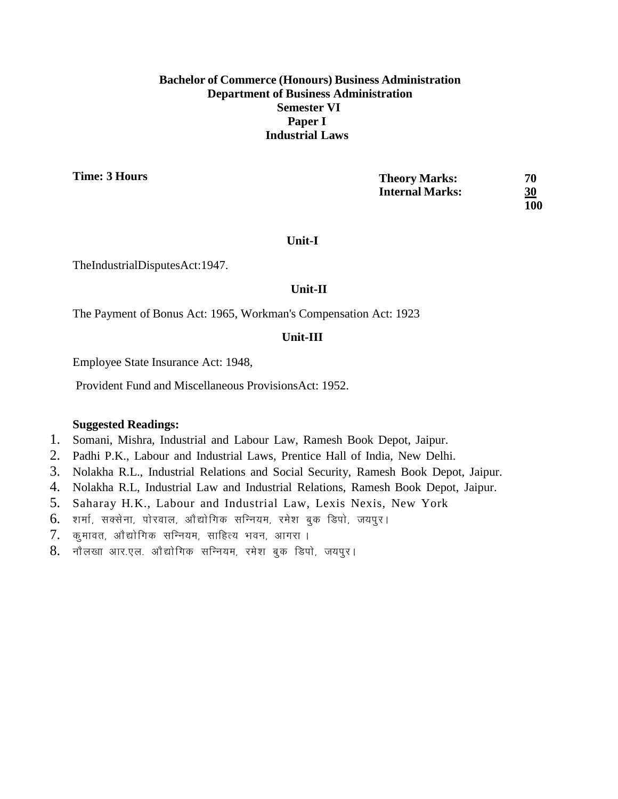## **Bachelor of Commerce (Honours) Business Administration Department of Business Administration Semester VI Paper I Industrial Laws**

**Time: 3 Hours**

| <b>Theory Marks:</b>   | 70         |
|------------------------|------------|
| <b>Internal Marks:</b> | <u>30</u>  |
|                        | <b>100</b> |

## **Unit-I**

TheIndustrialDisputesAct:1947.

## **Unit-II**

The Payment of Bonus Act: 1965, Workman's Compensation Act: 1923

## **Unit-III**

Employee State Insurance Act: 1948,

Provident Fund and Miscellaneous ProvisionsAct: 1952.

- 1. Somani, Mishra, Industrial and Labour Law, Ramesh Book Depot, Jaipur.
- 2. Padhi P.K., Labour and Industrial Laws, Prentice Hall of India, New Delhi.
- 3. Nolakha R.L., Industrial Relations and Social Security, Ramesh Book Depot, Jaipur.
- 4. Nolakha R.L, Industrial Law and Industrial Relations, Ramesh Book Depot, Jaipur.
- 5. Saharay H.K., Labour and Industrial Law, Lexis Nexis, New York
- $6.$  शर्मा, सक्सेना, पोरवाल, ओद्योगिक सन्नियम, रमेश बुक डिपो, जयपुर।
- $7.$  कूमावत, ओद्योगिक सन्नियम, साहित्य भवन, आगरा ।
- 8. नौलखा आर.एल. ओद्योगिक सन्नियम, रमेश बुक डिपो, जयपुर।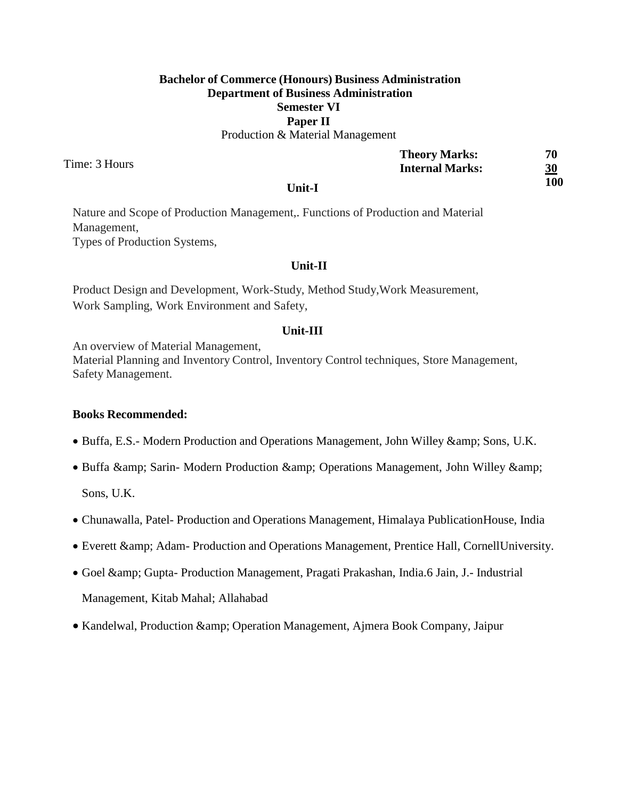# **Bachelor of Commerce (Honours) Business Administration Department of Business Administration Semester VI Paper II**

Production & Material Management

Time: 3 Hours

|                                     | <b>Theory Marks:</b>   | 70         |
|-------------------------------------|------------------------|------------|
|                                     | <b>Internal Marks:</b> | <u>30</u>  |
| $\mathbf{I}\mathbf{Init}\mathbf{I}$ |                        | <b>100</b> |

**Unit-I**

Nature and Scope of Production Management,. Functions of Production and Material Management, Types of Production Systems,

## **Unit-II**

Product Design and Development, Work-Study, Method Study,Work Measurement, Work Sampling, Work Environment and Safety,

## **Unit-III**

An overview of Material Management,

Material Planning and Inventory Control, Inventory Control techniques, Store Management, Safety Management.

### **Books Recommended:**

- Buffa, E.S.- Modern Production and Operations Management, John Willey & amp; Sons, U.K.
- Buffa & amp; Sarin- Modern Production & amp; Operations Management, John Willey & amp;

Sons, U.K.

- Chunawalla, Patel- Production and Operations Management, Himalaya PublicationHouse, India
- Everett & Adam- Production and Operations Management, Prentice Hall, CornellUniversity.
- Goel & Gupta- Production Management, Pragati Prakashan, India.6 Jain, J.- Industrial Management, Kitab Mahal; Allahabad
- Kandelwal, Production & amp; Operation Management, Ajmera Book Company, Jaipur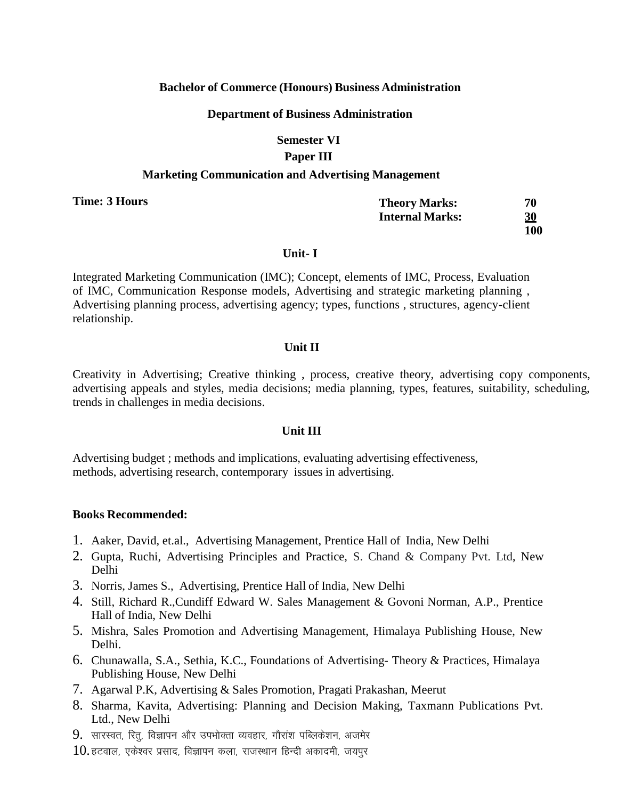## **Bachelor of Commerce (Honours) Business Administration**

### **Department of Business Administration**

## **Semester VI Paper III**

### **Marketing Communication and Advertising Management**

**Time: 3 Hours**

| <b>Theory Marks:</b>   | 70         |
|------------------------|------------|
| <b>Internal Marks:</b> | 30         |
|                        | <b>100</b> |

#### **Unit- I**

Integrated Marketing Communication (IMC); Concept, elements of IMC, Process, Evaluation of IMC, Communication Response models, Advertising and strategic marketing planning , Advertising planning process, advertising agency; types, functions , structures, agency-client relationship.

## **Unit II**

Creativity in Advertising; Creative thinking , process, creative theory, advertising copy components, advertising appeals and styles, media decisions; media planning, types, features, suitability, scheduling, trends in challenges in media decisions.

### **Unit III**

Advertising budget ; methods and implications, evaluating advertising effectiveness, methods, advertising research, contemporary issues in advertising.

### **Books Recommended:**

- 1. Aaker, David, et.al., Advertising Management, Prentice Hall of India, New Delhi
- 2. Gupta, Ruchi, Advertising Principles and Practice, S. Chand & Company Pvt. Ltd, New Delhi
- 3. Norris, James S., Advertising, Prentice Hall of India, New Delhi
- 4. Still, Richard R.,Cundiff Edward W. Sales Management & Govoni Norman, A.P., Prentice Hall of India, New Delhi
- 5. Mishra, Sales Promotion and Advertising Management, Himalaya Publishing House, New Delhi.
- 6. Chunawalla, S.A., Sethia, K.C., Foundations of Advertising- Theory & Practices, Himalaya Publishing House, New Delhi
- 7. Agarwal P.K, Advertising & Sales Promotion, Pragati Prakashan, Meerut
- 8. Sharma, Kavita, Advertising: Planning and Decision Making, Taxmann Publications Pvt. Ltd., New Delhi
- $9.$  सारस्वत, रित्, विज्ञापन और उपभोक्ता व्यवहार, गौरांश पब्लिकेशन, अजमेर
- $10.$  हटवाल, एकेश्वर प्रसाद, विज्ञापन कला, राजस्थान हिन्दी अकादमी, जयपुर